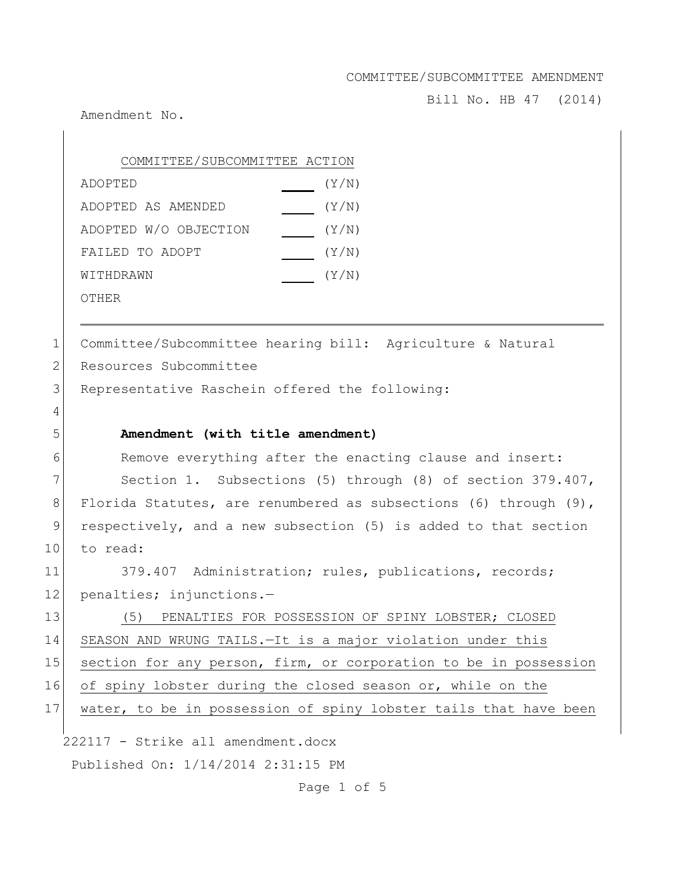Bill No. HB 47 (2014)

Amendment No.

| COMMITTEE/SUBCOMMITTEE ACTION |       |
|-------------------------------|-------|
| ADOPTED                       | (Y/N) |
| ADOPTED AS AMENDED            | (Y/N) |
| ADOPTED W/O OBJECTION         | (Y/N) |
| FAILED TO ADOPT               | (Y/N) |
| WITHDRAWN                     | (Y/N) |
| OTHER                         |       |

1 Committee/Subcommittee hearing bill: Agriculture & Natural 2 Resources Subcommittee

3 Representative Raschein offered the following:

6 Remove everything after the enacting clause and insert:

7 Section 1. Subsections (5) through (8) of section 379.407, 8 Florida Statutes, are renumbered as subsections (6) through (9), 9 respectively, and a new subsection (5) is added to that section 10 to read:

11 379.407 Administration; rules, publications, records; 12 penalties; injunctions.-

13 (5) PENALTIES FOR POSSESSION OF SPINY LOBSTER; CLOSED 14 SEASON AND WRUNG TAILS.—It is a major violation under this 15 section for any person, firm, or corporation to be in possession

16 of spiny lobster during the closed season or, while on the

|  |  |  |  |  | 17   water, to be in possession of spiny lobster tails that have been |  |  |  |  |  |  |  |
|--|--|--|--|--|-----------------------------------------------------------------------|--|--|--|--|--|--|--|
|--|--|--|--|--|-----------------------------------------------------------------------|--|--|--|--|--|--|--|

222117 - Strike all amendment.docx Published On: 1/14/2014 2:31:15 PM

Page 1 of 5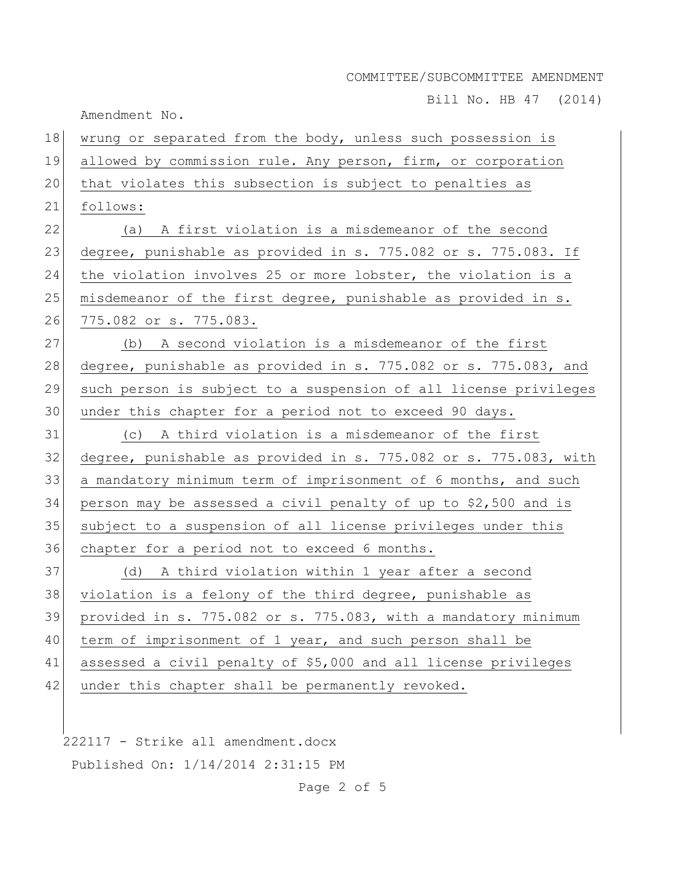Bill No. HB 47 (2014)

Amendment No.

| 18 | wrung or separated from the body, unless such possession is      |
|----|------------------------------------------------------------------|
| 19 | allowed by commission rule. Any person, firm, or corporation     |
| 20 | that violates this subsection is subject to penalties as         |
| 21 | follows:                                                         |
| 22 | (a) A first violation is a misdemeanor of the second             |
| 23 | degree, punishable as provided in s. 775.082 or s. 775.083. If   |
| 24 | the violation involves 25 or more lobster, the violation is a    |
| 25 | misdemeanor of the first degree, punishable as provided in s.    |
| 26 | 775.082 or s. 775.083.                                           |
| 27 | (b) A second violation is a misdemeanor of the first             |
| 28 | degree, punishable as provided in s. 775.082 or s. 775.083, and  |
| 29 | such person is subject to a suspension of all license privileges |
| 30 | under this chapter for a period not to exceed 90 days.           |
| 31 | (c) A third violation is a misdemeanor of the first              |
| 32 | degree, punishable as provided in s. 775.082 or s. 775.083, with |
| 33 | a mandatory minimum term of imprisonment of 6 months, and such   |
| 34 | person may be assessed a civil penalty of up to \$2,500 and is   |
| 35 | subject to a suspension of all license privileges under this     |
| 36 | chapter for a period not to exceed 6 months.                     |
| 37 | (d) A third violation within 1 year after a second               |
| 38 | violation is a felony of the third degree, punishable as         |
| 39 | provided in s. 775.082 or s. 775.083, with a mandatory minimum   |
| 40 | term of imprisonment of 1 year, and such person shall be         |
| 41 | assessed a civil penalty of \$5,000 and all license privileges   |
| 42 | under this chapter shall be permanently revoked.                 |

222117 - Strike all amendment.docx Published On: 1/14/2014 2:31:15 PM

Page 2 of 5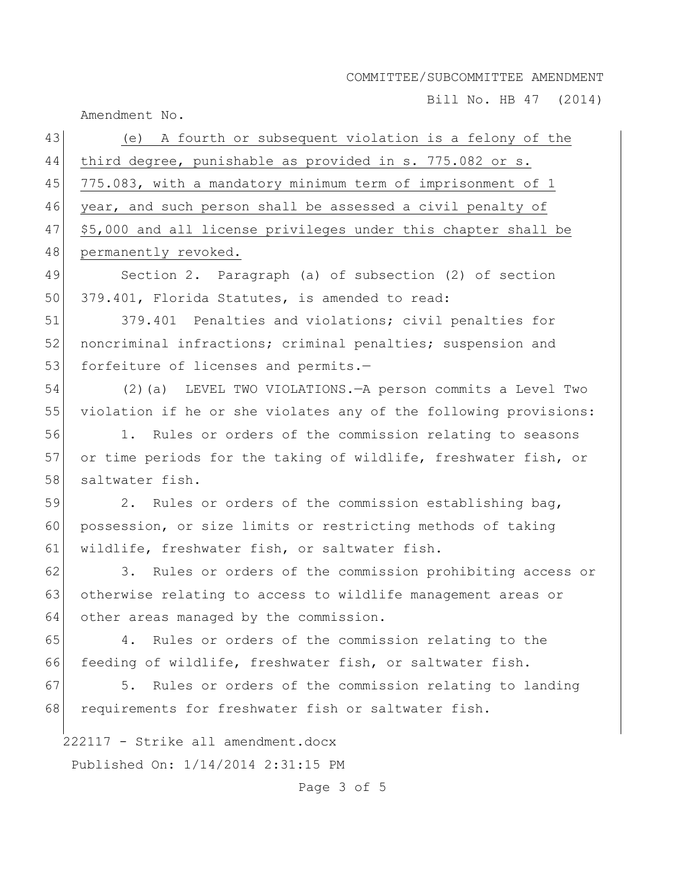Bill No. HB 47 (2014)

Amendment No.

| 43 | (e) A fourth or subsequent violation is a felony of the          |
|----|------------------------------------------------------------------|
| 44 | third degree, punishable as provided in s. 775.082 or s.         |
| 45 | 775.083, with a mandatory minimum term of imprisonment of 1      |
| 46 | year, and such person shall be assessed a civil penalty of       |
| 47 | \$5,000 and all license privileges under this chapter shall be   |
| 48 | permanently revoked.                                             |
| 49 | Section 2. Paragraph (a) of subsection (2) of section            |
| 50 | 379.401, Florida Statutes, is amended to read:                   |
| 51 | 379.401 Penalties and violations; civil penalties for            |
| 52 | noncriminal infractions; criminal penalties; suspension and      |
| 53 | forfeiture of licenses and permits.-                             |
| 54 | (2) (a) LEVEL TWO VIOLATIONS. - A person commits a Level Two     |
| 55 | violation if he or she violates any of the following provisions: |
| 56 | Rules or orders of the commission relating to seasons<br>1.      |
| 57 | or time periods for the taking of wildlife, freshwater fish, or  |
| 58 | saltwater fish.                                                  |
| 59 | 2. Rules or orders of the commission establishing bag,           |
| 60 | possession, or size limits or restricting methods of taking      |
| 61 | wildlife, freshwater fish, or saltwater fish.                    |
| 62 | 3. Rules or orders of the commission prohibiting access or       |
| 63 | otherwise relating to access to wildlife management areas or     |
| 64 | other areas managed by the commission.                           |
| 65 | Rules or orders of the commission relating to the<br>4.          |
| 66 | feeding of wildlife, freshwater fish, or saltwater fish.         |
| 67 | 5.<br>Rules or orders of the commission relating to landing      |
| 68 | requirements for freshwater fish or saltwater fish.              |
|    | 222117 - Strike all amendment.docx                               |
|    | Published On: 1/14/2014 2:31:15 PM                               |
|    | Page 3 of 5                                                      |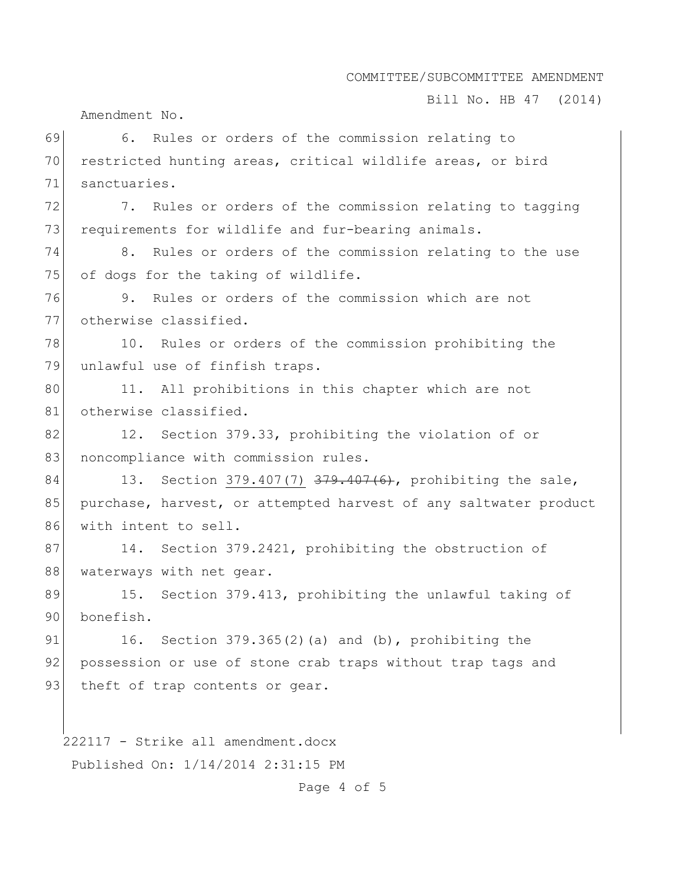Bill No. HB 47 (2014)

Amendment No.

222117 - Strike all amendment.docx Published On: 1/14/2014 2:31:15 PM 69 6. Rules or orders of the commission relating to 70 restricted hunting areas, critical wildlife areas, or bird 71 sanctuaries. 72 7. Rules or orders of the commission relating to tagging 73 requirements for wildlife and fur-bearing animals. 74 8. Rules or orders of the commission relating to the use 75 of dogs for the taking of wildlife. 76 9. Rules or orders of the commission which are not 77 otherwise classified. 78 10. Rules or orders of the commission prohibiting the 79 unlawful use of finfish traps. 80 11. All prohibitions in this chapter which are not 81 otherwise classified. 82 12. Section 379.33, prohibiting the violation of or 83 noncompliance with commission rules. 84 13. Section 379.407(7)  $379.407(6)$ , prohibiting the sale, 85 purchase, harvest, or attempted harvest of any saltwater product 86 with intent to sell. 87 14. Section 379.2421, prohibiting the obstruction of 88 waterways with net gear. 89 15. Section 379.413, prohibiting the unlawful taking of 90 bonefish. 91 16. Section  $379.365(2)$  (a) and (b), prohibiting the 92 possession or use of stone crab traps without trap tags and 93 theft of trap contents or gear.

Page 4 of 5